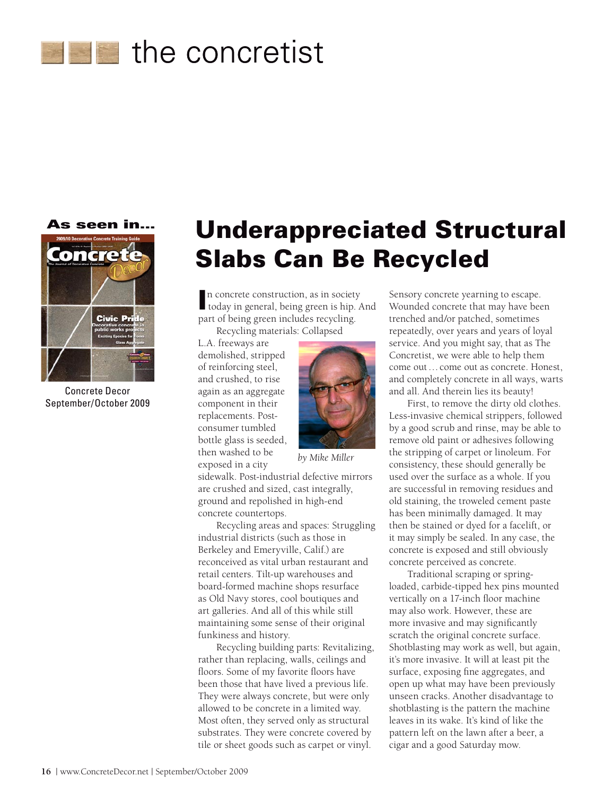



Concrete Decor September/October 2009

## Underappreciated Structural Slabs Can Be Recycled

n concrete construction, as in society<br>today in general, being green is hip. today in general, being green is hip. And part of being green includes recycling.

Recycling materials: Collapsed

L.A. freeways are demolished, stripped of reinforcing steel, and crushed, to rise again as an aggregate component in their replacements. Postconsumer tumbled bottle glass is seeded, then washed to be exposed in a city



*by Mike Miller*

sidewalk. Post-industrial defective mirrors are crushed and sized, cast integrally, ground and repolished in high-end concrete countertops.

Recycling areas and spaces: Struggling industrial districts (such as those in Berkeley and Emeryville, Calif.) are reconceived as vital urban restaurant and retail centers. Tilt-up warehouses and board-formed machine shops resurface as Old Navy stores, cool boutiques and art galleries. And all of this while still maintaining some sense of their original funkiness and history.

Recycling building parts: Revitalizing, rather than replacing, walls, ceilings and floors. Some of my favorite floors have been those that have lived a previous life. They were always concrete, but were only allowed to be concrete in a limited way. Most often, they served only as structural substrates. They were concrete covered by tile or sheet goods such as carpet or vinyl.

Sensory concrete yearning to escape. Wounded concrete that may have been trenched and/or patched, sometimes repeatedly, over years and years of loyal service. And you might say, that as The Concretist, we were able to help them come out…come out as concrete. Honest, and completely concrete in all ways, warts and all. And therein lies its beauty!

First, to remove the dirty old clothes. Less-invasive chemical strippers, followed by a good scrub and rinse, may be able to remove old paint or adhesives following the stripping of carpet or linoleum. For consistency, these should generally be used over the surface as a whole. If you are successful in removing residues and old staining, the troweled cement paste has been minimally damaged. It may then be stained or dyed for a facelift, or it may simply be sealed. In any case, the concrete is exposed and still obviously concrete perceived as concrete.

Traditional scraping or springloaded, carbide-tipped hex pins mounted vertically on a 17-inch floor machine may also work. However, these are more invasive and may significantly scratch the original concrete surface. Shotblasting may work as well, but again, it's more invasive. It will at least pit the surface, exposing fine aggregates, and open up what may have been previously unseen cracks. Another disadvantage to shotblasting is the pattern the machine leaves in its wake. It's kind of like the pattern left on the lawn after a beer, a cigar and a good Saturday mow.